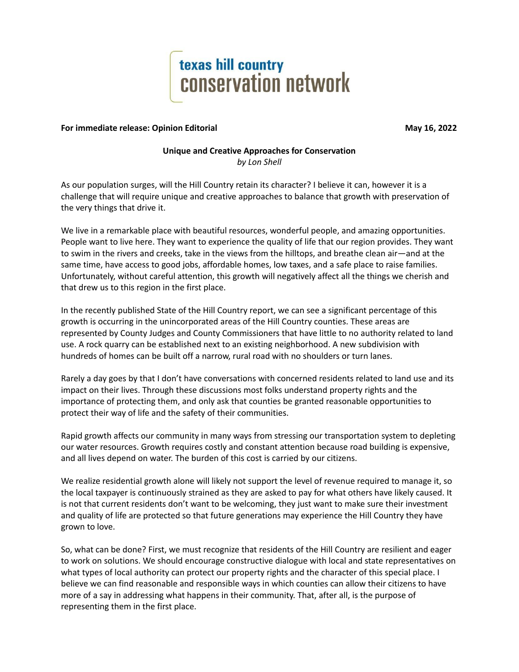

## **For immediate release: Opinion Editorial May 16, 2022**

## **Unique and Creative Approaches for Conservation** *by Lon Shell*

As our population surges, will the Hill Country retain its character? I believe it can, however it is a challenge that will require unique and creative approaches to balance that growth with preservation of the very things that drive it.

We live in a remarkable place with beautiful resources, wonderful people, and amazing opportunities. People want to live here. They want to experience the quality of life that our region provides. They want to swim in the rivers and creeks, take in the views from the hilltops, and breathe clean air—and at the same time, have access to good jobs, affordable homes, low taxes, and a safe place to raise families. Unfortunately, without careful attention, this growth will negatively affect all the things we cherish and that drew us to this region in the first place.

In the recently published State of the Hill Country report, we can see a significant percentage of this growth is occurring in the unincorporated areas of the Hill Country counties. These areas are represented by County Judges and County Commissioners that have little to no authority related to land use. A rock quarry can be established next to an existing neighborhood. A new subdivision with hundreds of homes can be built off a narrow, rural road with no shoulders or turn lanes.

Rarely a day goes by that I don't have conversations with concerned residents related to land use and its impact on their lives. Through these discussions most folks understand property rights and the importance of protecting them, and only ask that counties be granted reasonable opportunities to protect their way of life and the safety of their communities.

Rapid growth affects our community in many ways from stressing our transportation system to depleting our water resources. Growth requires costly and constant attention because road building is expensive, and all lives depend on water. The burden of this cost is carried by our citizens.

We realize residential growth alone will likely not support the level of revenue required to manage it, so the local taxpayer is continuously strained as they are asked to pay for what others have likely caused. It is not that current residents don't want to be welcoming, they just want to make sure their investment and quality of life are protected so that future generations may experience the Hill Country they have grown to love.

So, what can be done? First, we must recognize that residents of the Hill Country are resilient and eager to work on solutions. We should encourage constructive dialogue with local and state representatives on what types of local authority can protect our property rights and the character of this special place. I believe we can find reasonable and responsible ways in which counties can allow their citizens to have more of a say in addressing what happens in their community. That, after all, is the purpose of representing them in the first place.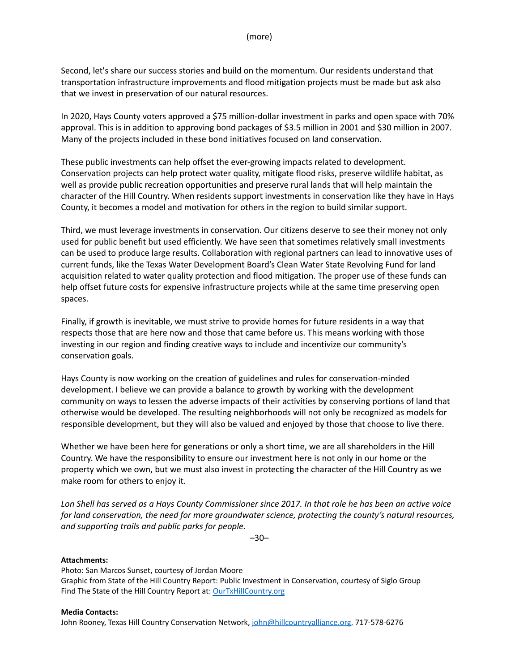Second, let's share our success stories and build on the momentum. Our residents understand that transportation infrastructure improvements and flood mitigation projects must be made but ask also that we invest in preservation of our natural resources.

In 2020, Hays County voters approved a \$75 million-dollar investment in parks and open space with 70% approval. This is in addition to approving bond packages of \$3.5 million in 2001 and \$30 million in 2007. Many of the projects included in these bond initiatives focused on land conservation.

These public investments can help offset the ever-growing impacts related to development. Conservation projects can help protect water quality, mitigate flood risks, preserve wildlife habitat, as well as provide public recreation opportunities and preserve rural lands that will help maintain the character of the Hill Country. When residents support investments in conservation like they have in Hays County, it becomes a model and motivation for others in the region to build similar support.

Third, we must leverage investments in conservation. Our citizens deserve to see their money not only used for public benefit but used efficiently. We have seen that sometimes relatively small investments can be used to produce large results. Collaboration with regional partners can lead to innovative uses of current funds, like the Texas Water Development Board's Clean Water State Revolving Fund for land acquisition related to water quality protection and flood mitigation. The proper use of these funds can help offset future costs for expensive infrastructure projects while at the same time preserving open spaces.

Finally, if growth is inevitable, we must strive to provide homes for future residents in a way that respects those that are here now and those that came before us. This means working with those investing in our region and finding creative ways to include and incentivize our community's conservation goals.

Hays County is now working on the creation of guidelines and rules for conservation-minded development. I believe we can provide a balance to growth by working with the development community on ways to lessen the adverse impacts of their activities by conserving portions of land that otherwise would be developed. The resulting neighborhoods will not only be recognized as models for responsible development, but they will also be valued and enjoyed by those that choose to live there.

Whether we have been here for generations or only a short time, we are all shareholders in the Hill Country. We have the responsibility to ensure our investment here is not only in our home or the property which we own, but we must also invest in protecting the character of the Hill Country as we make room for others to enjoy it.

Lon Shell has served as a Hays County Commissioner since 2017. In that role he has been an active voice *for land conservation, the need for more groundwater science, protecting the county's natural resources, and supporting trails and public parks for people.*

–30–

## **Attachments:**

Photo: San Marcos Sunset, courtesy of Jordan Moore Graphic from State of the Hill Country Report: Public Investment in Conservation, courtesy of Siglo Group Find The State of the Hill Country Report at: [OurTxHillCountry.org](https://hillcountryalliance.org/our-work/texas-hill-country-conservation-network/state-of-the-hill-country/)

## **Media Contacts:**

John Rooney, Texas Hill Country Conservation Network, [john@hillcountryalliance.org](mailto:john@hillcountryalliance.org), 717-578-6276